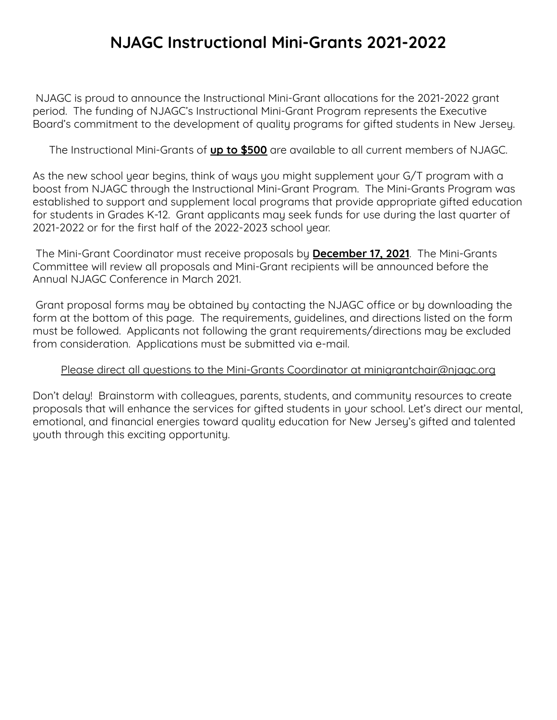# **NJAGC Instructional Mini-Grants 2021-2022**

NJAGC is proud to announce the Instructional Mini-Grant allocations for the 2021-2022 grant period. The funding of NJAGC's Instructional Mini-Grant Program represents the Executive Board's commitment to the development of quality programs for gifted students in New Jersey.

The Instructional Mini-Grants of **up to \$500** are available to all current members of NJAGC.

As the new school year begins, think of ways you might supplement your G/T program with a boost from NJAGC through the Instructional Mini-Grant Program. The Mini-Grants Program was established to support and supplement local programs that provide appropriate gifted education for students in Grades K-12. Grant applicants may seek funds for use during the last quarter of 2021-2022 or for the first half of the 2022-2023 school year.

The Mini-Grant Coordinator must receive proposals by **December 17, 2021**. The Mini-Grants Committee will review all proposals and Mini-Grant recipients will be announced before the Annual NJAGC Conference in March 2021.

Grant proposal forms may be obtained by contacting the NJAGC office or by downloading the form at the bottom of this page. The requirements, guidelines, and directions listed on the form must be followed. Applicants not following the grant requirements/directions may be excluded from consideration. Applications must be submitted via e-mail.

#### Please direct all questions to the Mini-Grants Coordinator at minigrantchair@njagc.org

Don't delay! Brainstorm with colleagues, parents, students, and community resources to create proposals that will enhance the services for gifted students in your school. Let's direct our mental, emotional, and financial energies toward quality education for New Jersey's gifted and talented youth through this exciting opportunity.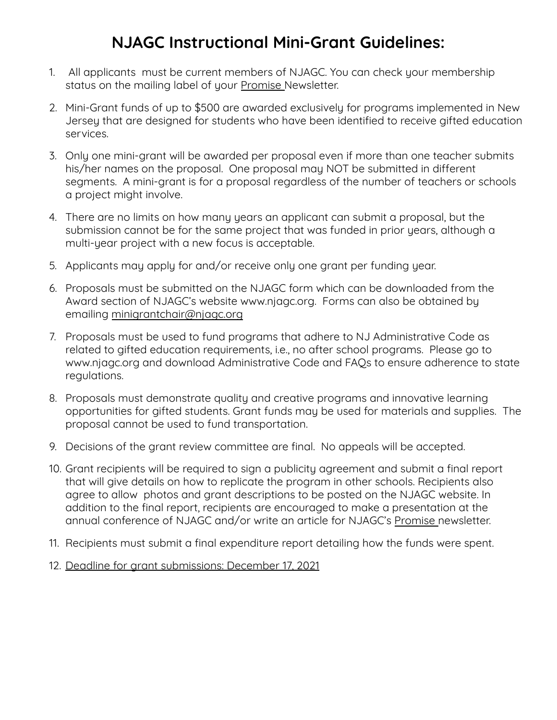# **NJAGC Instructional Mini-Grant Guidelines:**

- 1. All applicants must be current members of NJAGC. You can check your membership status on the mailing label of your Promise Newsletter.
- 2. Mini-Grant funds of up to \$500 are awarded exclusively for programs implemented in New Jersey that are designed for students who have been identified to receive gifted education services.
- 3. Only one mini-grant will be awarded per proposal even if more than one teacher submits his/her names on the proposal. One proposal may NOT be submitted in different segments. A mini-grant is for a proposal regardless of the number of teachers or schools a project might involve.
- 4. There are no limits on how many years an applicant can submit a proposal, but the submission cannot be for the same project that was funded in prior years, although a multi-year project with a new focus is acceptable.
- 5. Applicants may apply for and/or receive only one grant per funding year.
- 6. Proposals must be submitted on the NJAGC form which can be downloaded from the Award section of NJAGC's website [www.njagc.org.](http://www.njagc.org/) Forms can also be obtained by emailing [minigrantchair@njagc.org](mailto:minigrantchair@njagc.org)
- 7. Proposals must be used to fund programs that adhere to NJ Administrative Code as related to gifted education requirements, i.e., no after school programs. Please go to [www.njagc.org](http://www.njagc.org/) and download Administrative Code and FAQs to ensure adherence to state regulations.
- 8. Proposals must demonstrate quality and creative programs and innovative learning opportunities for gifted students. Grant funds may be used for materials and supplies. The proposal cannot be used to fund transportation.
- 9. Decisions of the grant review committee are final. No appeals will be accepted.
- 10. Grant recipients will be required to sign a publicity agreement and submit a final report that will give details on how to replicate the program in other schools. Recipients also agree to allow photos and grant descriptions to be posted on the NJAGC website. In addition to the final report, recipients are encouraged to make a presentation at the annual conference of NJAGC and/or write an article for NJAGC's Promise newsletter.
- 11. Recipients must submit a final expenditure report detailing how the funds were spent.
- 12. Deadline for grant submissions: December 17, 2021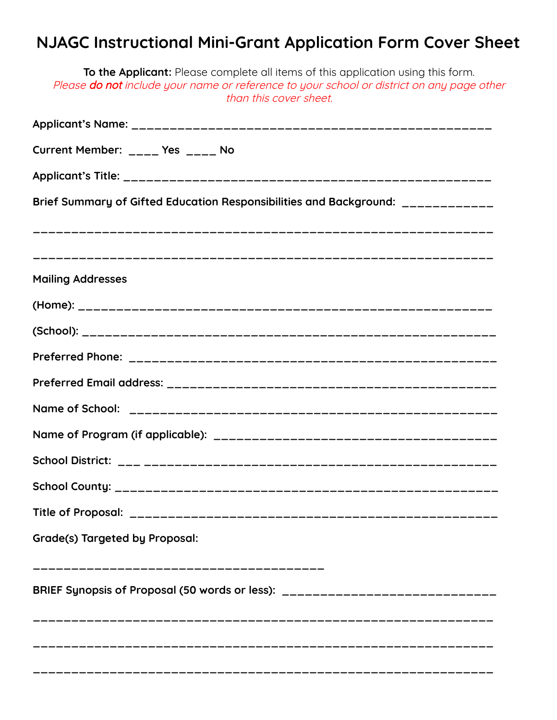# **NJAGC Instructional Mini-Grant Application Form Cover Sheet**

| <b>To the Applicant:</b> Please complete all items of this application using this form.<br>Please do not include your name or reference to your school or district on any page other<br>than this cover sheet. |
|----------------------------------------------------------------------------------------------------------------------------------------------------------------------------------------------------------------|
|                                                                                                                                                                                                                |
| Current Member: ____ Yes ____ No                                                                                                                                                                               |
|                                                                                                                                                                                                                |
| Brief Summary of Gifted Education Responsibilities and Background: _____________                                                                                                                               |
|                                                                                                                                                                                                                |
| <b>Mailing Addresses</b>                                                                                                                                                                                       |
|                                                                                                                                                                                                                |
|                                                                                                                                                                                                                |
|                                                                                                                                                                                                                |
|                                                                                                                                                                                                                |
|                                                                                                                                                                                                                |
|                                                                                                                                                                                                                |
|                                                                                                                                                                                                                |
|                                                                                                                                                                                                                |
|                                                                                                                                                                                                                |
| Grade(s) Targeted by Proposal:                                                                                                                                                                                 |
| ------------------------------<br>BRIEF Synopsis of Proposal (50 words or less): ________________________________                                                                                              |
|                                                                                                                                                                                                                |
|                                                                                                                                                                                                                |